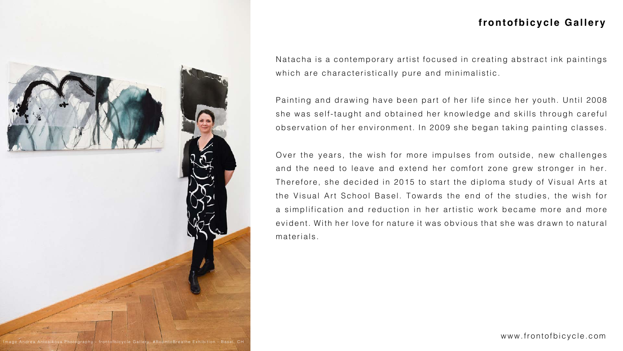



Natacha is a contemporary artist focused in creating abstract ink paintings which are characteristically pure and minimalistic.

Painting and drawing have been part of her life since her youth. Until 2008 she was self-taught and obtained her knowledge and skills through careful observation of her environment. In 2009 she began taking painting classes.

Over the years, the wish for more impulses from outside, new challenges and the need to leave and extend her comfort zone grew stronger in her. Therefore, she decided in 2015 to start the diploma study of Visual Arts at the Visual Art School Basel. Towards the end of the studies, the wish for a simplification and reduction in her artistic work became more and more evident. With her love for nature it was obvious that she was drawn to natural materials.

mage:Andrea Antosikova Photography - frontofbicycle Gallery: #RoomtoBreathe Exhibition - Basel, CH







## **frontofbicycle Gallery**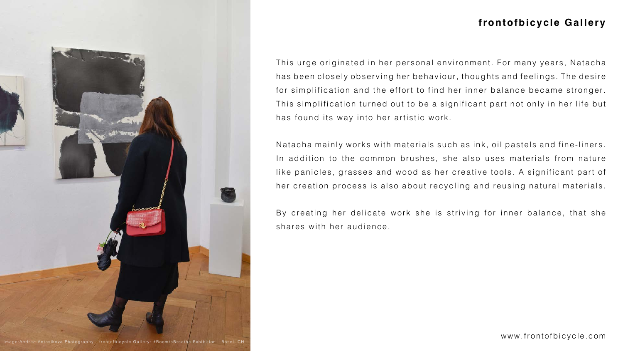This urge originated in her personal environment. For many years, Natacha has been closely observing her behaviour, thoughts and feelings. The desire for simplification and the effort to find her inner balance became stronger. This simplification turned out to be a significant part not only in her life but has found its way into her artistic work.

Natacha mainly works with materials such as ink, oil pastels and fine-liners. In addition to the common brushes, she also uses materials from nature like panicles, grasses and wood as her creative tools. A significant part of her creation process is also about recycling and reusing natural materials.

By creating her delicate work she is striving for inner balance, that she shares with her audience.









## **frontofbicycle Gallery**

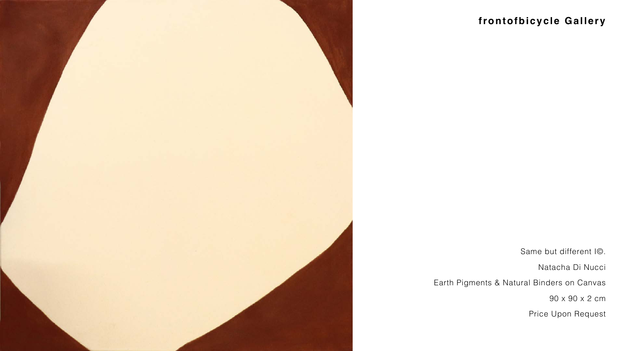

# frontofbicycle Gallery

Same but different IC.

Natacha Di Nucci

Earth Pigments & Natural Binders on Canvas

90 x 90 x 2 cm

Price Upon Request



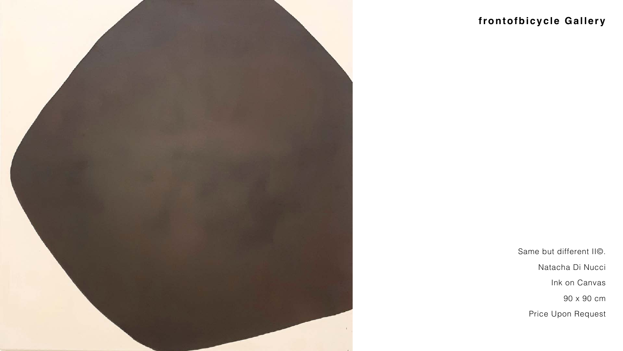

# **frontofbicycle Gallery**

Same but different II©.

Natacha Di Nucci

Ink on Canvas



Price Upon Request